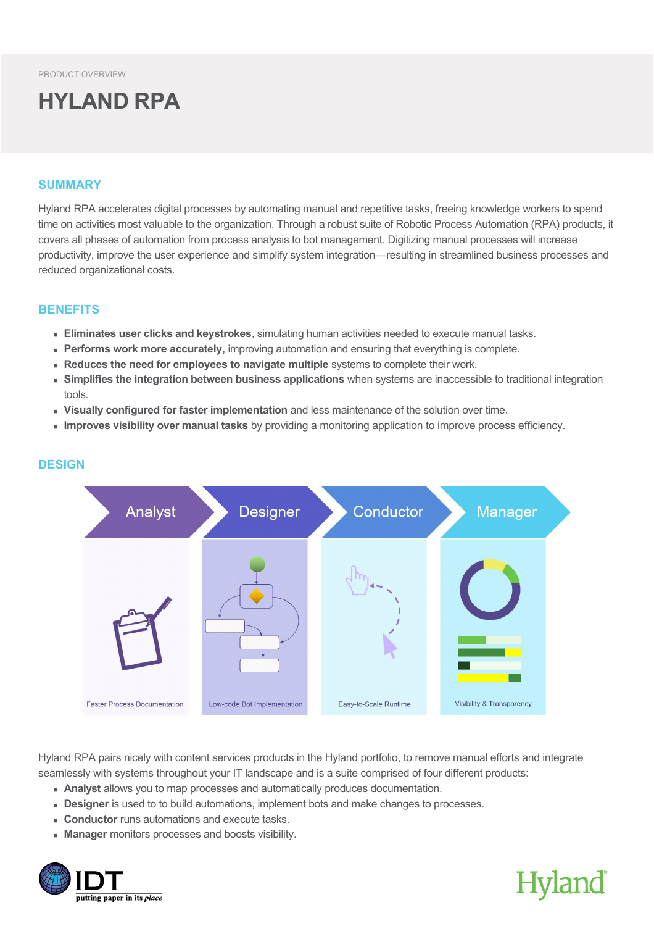### **HYLAND RPA**

#### **SUMMARY**

Hyland RPA accelerates digital processes by automating manual and repetitive tasks, freeing knowledge workers to spend time on activities most valuable to the organization. Through a robust suite of Robotic Process Automation (RPA) products, it covers all phases of automation from process analysis to bot management. Digitizing manual processes will increase productivity, improve the user experience and simplify system integration—resulting in streamlined business processes and reduced organizational costs.

#### **BENEFITS**

- **Eliminates user clicks and keystrokes**, simulating human activities needed to execute manual tasks.
- **Performs work more accurately, improving automation and ensuring that everything is complete.**
- **Reduces the need for employees to navigate multiple** systems to complete their work.
- <sup>n</sup> **Simplifies the integration between business applications** when systems are inaccessible to traditional integration tools.
- **Visually configured for faster implementation** and less maintenance of the solution over time.
- <sup>n</sup> **Improves visibility over manual tasks** by providing a monitoring application to improve process efficiency.



Hyland RPA pairs nicely with content services products in the Hyland portfolio, to remove manual efforts and integrate seamlessly with systems throughout your IT landscape and is a suite comprised of four different products:

- **Analyst** allows you to map processes and automatically produces documentation.
- **Designer** is used to to build automations, implement bots and make changes to processes.
- **Conductor** runs automations and execute tasks.
- **Manager** monitors processes and boosts visibility.



## Hyland

#### **DESIGN**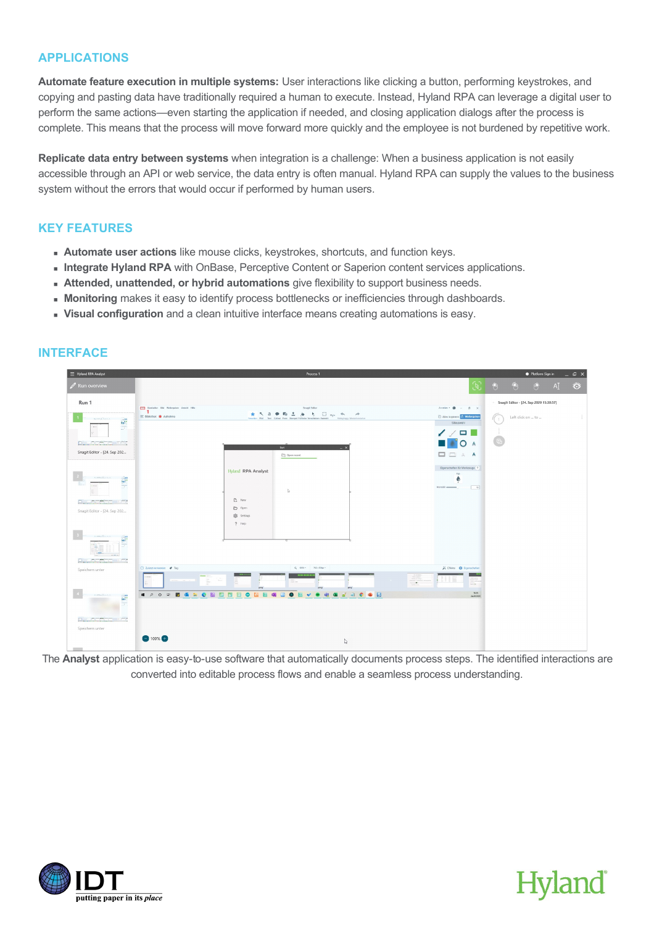#### **APPLICATIONS**

**Automate feature execution in multiple systems:** User interactions like clicking a button, performing keystrokes, and copying and pasting data have traditionally required a human to execute. Instead, Hyland RPA can leverage a digital user to perform the same actions—even starting the application if needed, and closing application dialogs after the process is complete. This means that the process will move forward more quickly and the employee is not burdened by repetitive work.

**Replicate data entry between systems** when integration is a challenge: When a business application is not easily accessible through an API or web service, the data entry is often manual. Hyland RPA can supply the values to the business system without the errors that would occur if performed by human users.

#### **KEY FEATURES**

- **Automate user actions** like mouse clicks, keystrokes, shortcuts, and function keys.
- **Integrate Hyland RPA** with OnBase, Perceptive Content or Saperion content services applications.
- **Attended, unattended, or hybrid automations** give flexibility to support business needs.
- **Monitoring** makes it easy to identify process bottlenecks or inefficiencies through dashboards.
- **Visual configuration** and a clean intuitive interface means creating automations is easy.

| Hyland RPA Analyst                                                                                                                                                                                                                                                                                                                                                     | Process 1                                                                                                                            |                                             |             | $ \theta$ $\times$<br>Platform Sign in    |    |   |
|------------------------------------------------------------------------------------------------------------------------------------------------------------------------------------------------------------------------------------------------------------------------------------------------------------------------------------------------------------------------|--------------------------------------------------------------------------------------------------------------------------------------|---------------------------------------------|-------------|-------------------------------------------|----|---|
| Run overview                                                                                                                                                                                                                                                                                                                                                           |                                                                                                                                      | $\left( \mathcal{G}\right)$                 | $\bigcirc$  | $\bigcirc$<br>$\bigcirc$                  | AI | 迷 |
| Run 1                                                                                                                                                                                                                                                                                                                                                                  | [77] Bestehn Bid Welergeten Awicht Hile<br>Snagit Editor                                                                             | Arrester $\mathbf{B}$ - $\mathbf{C}$ X      |             | - Snagit Editor - [24. Sep 2020 15:30:57] |    |   |
| appropriation of<br>E.                                                                                                                                                                                                                                                                                                                                                 | -11<br>$\equiv$ Bibliothek $\bullet$ Aufnahme<br>Tot Calout Form Stempel Fülfarbe Verschieben Asswehl<br><b>Dicksburgs Westerhoo</b> | Alles kopieren & Weitergeber<br>Stilauswahl |             | Left click on  to                         |    |   |
|                                                                                                                                                                                                                                                                                                                                                                        |                                                                                                                                      | ノノロ■                                        |             |                                           |    |   |
| <b>DELETED THE</b>                                                                                                                                                                                                                                                                                                                                                     | Start <sub>.</sub>                                                                                                                   | <b>O</b> <sup>o</sup>                       | $\bigoplus$ |                                           |    |   |
| Snagit Editor - [24. Sep 202                                                                                                                                                                                                                                                                                                                                           | C <sub>2</sub> Open recent                                                                                                           | <b>DDAA</b>                                 |             |                                           |    |   |
|                                                                                                                                                                                                                                                                                                                                                                        | <b>Hyland RPA Analyst</b>                                                                                                            | Eigenschaften für Werkzeuge. ?<br>Typ.      |             |                                           |    |   |
| Ė<br>11101123.1.1.1                                                                                                                                                                                                                                                                                                                                                    |                                                                                                                                      | ۵                                           |             |                                           |    |   |
|                                                                                                                                                                                                                                                                                                                                                                        | $\triangleright$                                                                                                                     | $\vert$ 50<br>Internation of the Content    |             |                                           |    |   |
| <b>Departments</b> of the                                                                                                                                                                                                                                                                                                                                              | $\mathbb{C}$ New<br>to Open                                                                                                          |                                             |             |                                           |    |   |
| Snagit Editor - [24. Sep 202                                                                                                                                                                                                                                                                                                                                           | <b>18</b> Settings                                                                                                                   |                                             |             |                                           |    |   |
|                                                                                                                                                                                                                                                                                                                                                                        | $2$ Help                                                                                                                             |                                             |             |                                           |    |   |
| ÷<br>÷                                                                                                                                                                                                                                                                                                                                                                 |                                                                                                                                      |                                             |             |                                           |    |   |
|                                                                                                                                                                                                                                                                                                                                                                        |                                                                                                                                      |                                             |             |                                           |    |   |
| <b>CONTRACTOR</b><br><b>Designation</b><br>Speichern unter                                                                                                                                                                                                                                                                                                             | C Zuletzt verwendet # Tag<br>Q 100% > 702 x 53% >                                                                                    | X Effekte<br>Elgenschaften                  |             |                                           |    |   |
|                                                                                                                                                                                                                                                                                                                                                                        | $\geq$<br>$\mathbb{Z}$                                                                                                               | œ                                           |             |                                           |    |   |
|                                                                                                                                                                                                                                                                                                                                                                        | png<br>png.<br>ono<br><b>NO 0 NE 4 3 0 NV 8 4 4 7 4 6 9 5</b><br>■ 2 0 章<br>CED<br>Tv.<br>$\overline{5}$                             | $\rightarrow$<br>15:35                      |             |                                           |    |   |
| <b>COMMERCIAL</b><br>f                                                                                                                                                                                                                                                                                                                                                 | a.                                                                                                                                   | 24.00.2020                                  |             |                                           |    |   |
|                                                                                                                                                                                                                                                                                                                                                                        |                                                                                                                                      |                                             |             |                                           |    |   |
| $\begin{picture}(20,10) \put(0,0){\line(1,0){10}} \put(15,0){\line(1,0){10}} \put(15,0){\line(1,0){10}} \put(15,0){\line(1,0){10}} \put(15,0){\line(1,0){10}} \put(15,0){\line(1,0){10}} \put(15,0){\line(1,0){10}} \put(15,0){\line(1,0){10}} \put(15,0){\line(1,0){10}} \put(15,0){\line(1,0){10}} \put(15,0){\line(1,0){10}} \put(15,0){\line(1$<br>Speichern unter |                                                                                                                                      |                                             |             |                                           |    |   |
|                                                                                                                                                                                                                                                                                                                                                                        | <b>O</b> 100% <b>O</b><br>$\mathbb{P}$                                                                                               |                                             |             |                                           |    |   |
| <b>Contract</b>                                                                                                                                                                                                                                                                                                                                                        |                                                                                                                                      |                                             |             |                                           |    |   |

The **Analyst** application is easy-to-use software that automatically documents process steps. The identified interactions are converted into editable process flows and enable a seamless process understanding.



# Hyland

#### **INTERFACE**